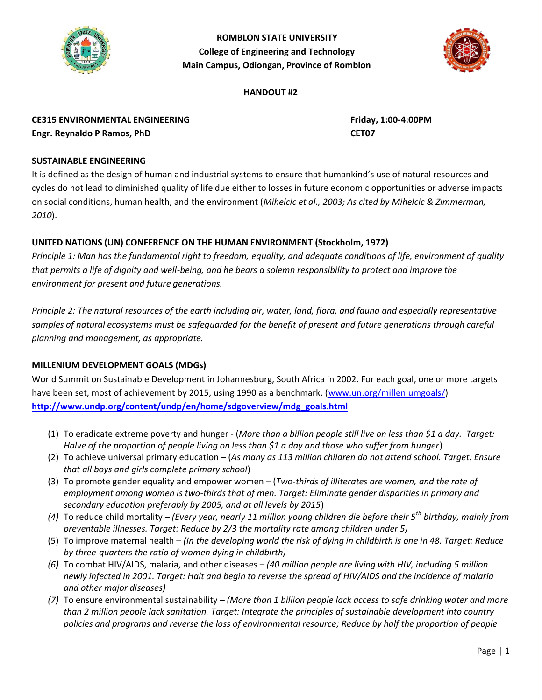

**ROMBLON STATE UNIVERSITY College of Engineering and Technology Main Campus, Odiongan, Province of Romblon**



#### **HANDOUT #2**

**CE315 ENVIRONMENTAL ENGINEERING Friday, 1:00-4:00PM Engr. Reynaldo P Ramos, PhD CET07**

### **SUSTAINABLE ENGINEERING**

It is defined as the design of human and industrial systems to ensure that humankind's use of natural resources and cycles do not lead to diminished quality of life due either to losses in future economic opportunities or adverse impacts on social conditions, human health, and the environment (*Mihelcic et al., 2003; As cited by Mihelcic & Zimmerman, 2010*).

## **UNITED NATIONS (UN) CONFERENCE ON THE HUMAN ENVIRONMENT (Stockholm, 1972)**

*Principle 1: Man has the fundamental right to freedom, equality, and adequate conditions of life, environment of quality that permits a life of dignity and well-being, and he bears a solemn responsibility to protect and improve the environment for present and future generations.*

*Principle 2: The natural resources of the earth including air, water, land, flora, and fauna and especially representative*  samples of natural ecosystems must be safeguarded for the benefit of present and future generations through careful *planning and management, as appropriate.*

### **MILLENIUM DEVELOPMENT GOALS (MDGs)**

World Summit on Sustainable Development in Johannesburg, South Africa in 2002. For each goal, one or more targets have been set, most of achievement by 2015, using 1990 as a benchmark. [\(www.un.org/milleniumgoals/\)](http://www.un.org/milleniumgoals/) **[http://www.undp.org/content/undp/en/home/sdgoverview/mdg\\_goals.html](http://www.undp.org/content/undp/en/home/sdgoverview/mdg_goals.html)**

- (1) To eradicate [extreme poverty](https://en.wikipedia.org/wiki/Extreme_poverty) and [hunger](https://en.wikipedia.org/wiki/Hunger) (*More than a billion people still live on less than \$1 a day. Target: Halve of the proportion of people living on less than \$1 a day and those who suffer from hunger*)
- (2) To achieve [universal primary education](https://en.wikipedia.org/wiki/Universal_primary_education) (*As many as 113 million children do not attend school. Target: Ensure that all boys and girls complete primary school*)
- (3) To promote [gender equality](https://en.wikipedia.org/wiki/Gender_equality) and empower women (*Two-thirds of illiterates are women, and the rate of employment among women is two-thirds that of men. Target: Eliminate gender disparities in primary and secondary education preferably by 2005, and at all levels by 2015*)
- *(4)* To reduce [child mortality](https://en.wikipedia.org/wiki/Child_mortality) *(Every year, nearly 11 million young children die before their 5th birthday, mainly from preventable illnesses. Target: Reduce by 2/3 the mortality rate among children under 5)*
- (5) To improve [maternal health](https://en.wikipedia.org/wiki/Maternal_health) *(In the developing world the risk of dying in childbirth is one in 48. Target: Reduce by three-quarters the ratio of women dying in childbirth)*
- *(6)* To combat [HIV/AIDS,](https://en.wikipedia.org/wiki/HIV/AIDS) [malaria,](https://en.wikipedia.org/wiki/Malaria) and other diseases *(40 million people are living with HIV, including 5 million newly infected in 2001. Target: Halt and begin to reverse the spread of HIV/AIDS and the incidence of malaria and other major diseases)*
- *(7)* To ensure environmental sustainability *(More than 1 billion people lack access to safe drinking water and more than 2 million people lack sanitation. Target: Integrate the principles of sustainable development into country policies and programs and reverse the loss of environmental resource; Reduce by half the proportion of people*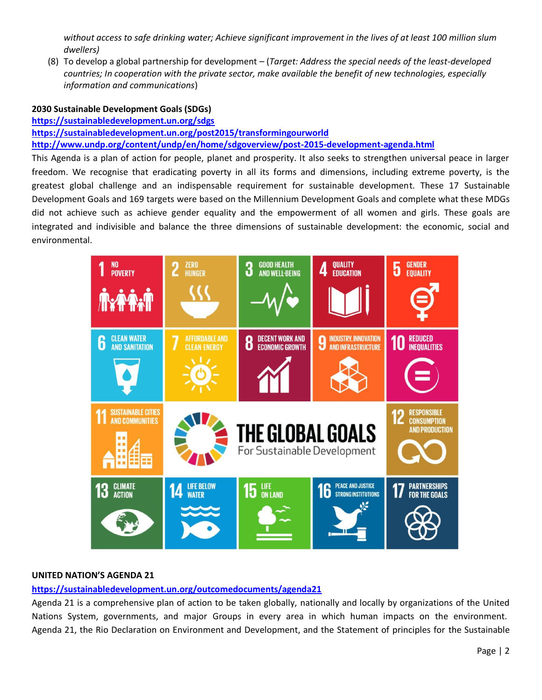*without access to safe drinking water; Achieve significant improvement in the lives of at least 100 million slum dwellers)*

(8) To develop a global partnership for development – (*Target: Address the special needs of the least-developed countries; In cooperation with the private sector, make available the benefit of new technologies, especially information and communications*)

#### **2030 Sustainable Development Goals (SDGs)**

**<https://sustainabledevelopment.un.org/sdgs>**

**<https://sustainabledevelopment.un.org/post2015/transformingourworld> <http://www.undp.org/content/undp/en/home/sdgoverview/post-2015-development-agenda.html>**

This Agenda is a plan of action for people, planet and prosperity. It also seeks to strengthen universal peace in larger freedom. We recognise that eradicating poverty in all its forms and dimensions, including extreme poverty, is the greatest global challenge and an indispensable requirement for sustainable development. These 17 Sustainable Development Goals and 169 targets were based on the Millennium Development Goals and complete what these MDGs did not achieve such as achieve gender equality and the empowerment of all women and girls. These goals are integrated and indivisible and balance the three dimensions of sustainable development: the economic, social and environmental.



### **UNITED NATION'S AGENDA 21**

### **<https://sustainabledevelopment.un.org/outcomedocuments/agenda21>**

Agenda 21 is a comprehensive plan of action to be taken globally, nationally and locally by organizations of the United Nations System, governments, and major Groups in every area in which human impacts on the environment. Agenda 21, the Rio Declaration on Environment and Development, and the Statement of principles for the Sustainable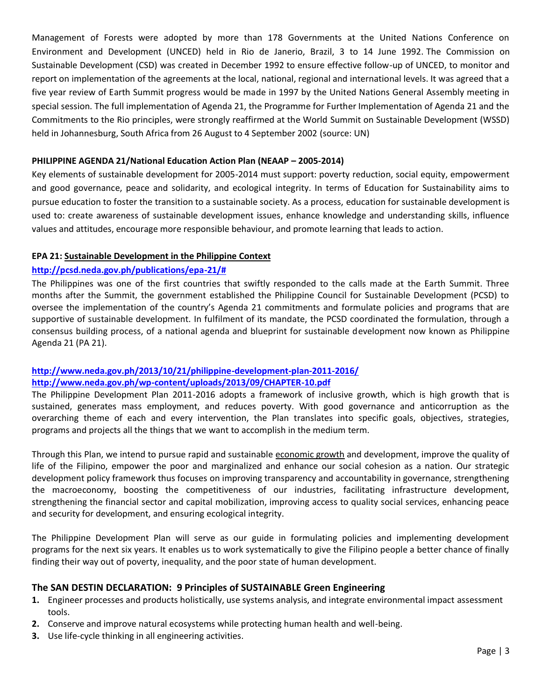Management of Forests were adopted by more than 178 Governments at the United Nations Conference on Environment and Development (UNCED) held in Rio de Janerio, Brazil, 3 to 14 June 1992. The Commission on Sustainable Development (CSD) was created in December 1992 to ensure effective follow-up of UNCED, to monitor and report on implementation of the agreements at the local, national, regional and international levels. It was agreed that a five year review of Earth Summit progress would be made in 1997 by the United Nations General Assembly meeting in special session. The full implementation of Agenda 21, the Programme for Further Implementation of Agenda 21 and the Commitments to the Rio principles, were strongly reaffirmed at the World Summit on Sustainable Development (WSSD) held in Johannesburg, South Africa from 26 August to 4 September 2002 (source: UN)

#### **PHILIPPINE AGENDA 21/National Education Action Plan (NEAAP – 2005-2014)**

Key elements of sustainable development for 2005-2014 must support: poverty reduction, social equity, empowerment and good governance, peace and solidarity, and ecological integrity. In terms of Education for Sustainability aims to pursue education to foster the transition to a sustainable society. As a process, education for sustainable development is used to: create awareness of sustainable development issues, enhance knowledge and understanding skills, influence values and attitudes, encourage more responsible behaviour, and promote learning that leads to action.

#### **EPA 21: Sustainable [Development](http://pcsd.neda.gov.ph/publications/epa-21/) in the Philippine Context**

### **[http://pcsd.neda.gov.ph/publications/epa-21/#](http://pcsd.neda.gov.ph/publications/epa-21/)**

The Philippines was one of the first countries that swiftly responded to the calls made at the Earth Summit. Three months after the Summit, the government established the Philippine Council for Sustainable Development (PCSD) to oversee the implementation of the country's Agenda 21 commitments and formulate policies and programs that are supportive of sustainable development. In fulfilment of its mandate, the PCSD coordinated the formulation, through a consensus building process, of a national agenda and blueprint for sustainable development now known as Philippine Agenda 21 (PA 21).

# **<http://www.neda.gov.ph/2013/10/21/philippine-development-plan-2011-2016/> <http://www.neda.gov.ph/wp-content/uploads/2013/09/CHAPTER-10.pdf>**

The Philippine Development Plan 2011-2016 adopts a framework of inclusive growth, which is high growth that is sustained, generates mass employment, and reduces poverty. With good governance and anticorruption as the overarching theme of each and every intervention, the Plan translates into specific goals, objectives, strategies, programs and projects all the things that we want to accomplish in the medium term.

Through this Plan, we intend to pursue rapid and sustainable [economic growth](http://www.forextradingaustralia.com.au/utilizing-economic-calendars/) and development, improve the quality of life of the Filipino, empower the poor and marginalized and enhance our social cohesion as a nation. Our strategic development policy framework thus focuses on improving transparency and accountability in governance, strengthening the macroeconomy, boosting the competitiveness of our industries, facilitating infrastructure development, strengthening the financial sector and capital mobilization, improving access to quality social services, enhancing peace and security for development, and ensuring ecological integrity.

The Philippine Development Plan will serve as our guide in formulating policies and implementing development programs for the next six years. It enables us to work systematically to give the Filipino people a better chance of finally finding their way out of poverty, inequality, and the poor state of human development.

### **The SAN DESTIN DECLARATION: 9 Principles of SUSTAINABLE Green Engineering**

- **1.** Engineer processes and products holistically, use systems analysis, and integrate environmental impact assessment tools.
- **2.** Conserve and improve natural ecosystems while protecting human health and well-being.
- **3.** Use life-cycle thinking in all engineering activities.